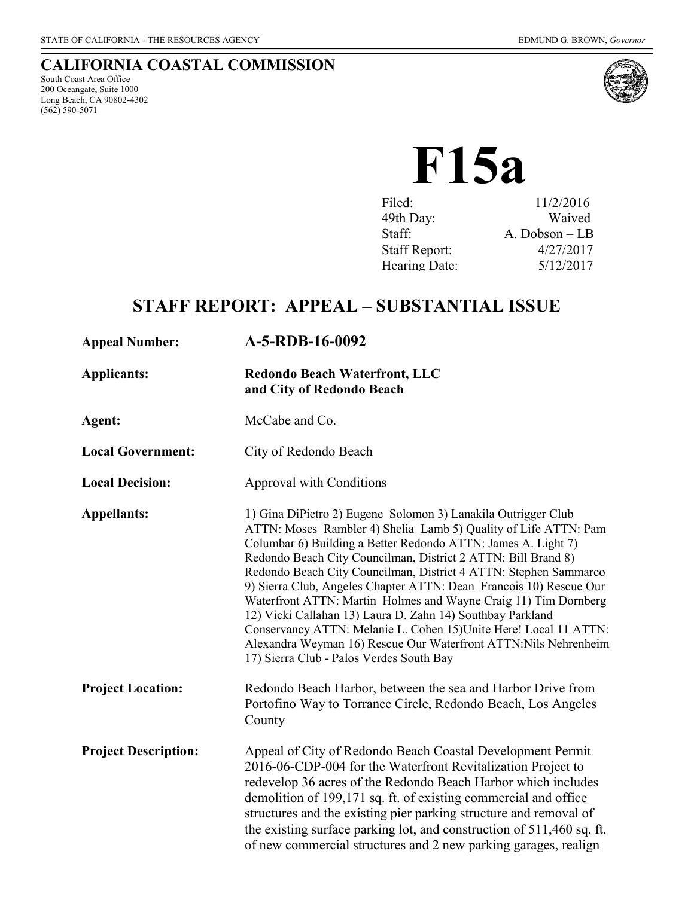### **CALIFORNIA COASTAL COMMISSION**

South Coast Area Office 200 Oceangate, Suite 1000 Long Beach, CA 90802-4302 (562) 590-5071



**F15a**

| Filed:               | 11/2/2016      |
|----------------------|----------------|
| 49th Day:            | Waived         |
| Staff:               | A. Dobson – LB |
| <b>Staff Report:</b> | 4/27/2017      |
| Hearing Date:        | 5/12/2017      |
|                      |                |

## **STAFF REPORT: APPEAL – SUBSTANTIAL ISSUE**

| <b>Appeal Number:</b>       | A-5-RDB-16-0092                                                                                                                                                                                                                                                                                                                                                                                                                                                                                                                                                                                                                                                                                                                    |
|-----------------------------|------------------------------------------------------------------------------------------------------------------------------------------------------------------------------------------------------------------------------------------------------------------------------------------------------------------------------------------------------------------------------------------------------------------------------------------------------------------------------------------------------------------------------------------------------------------------------------------------------------------------------------------------------------------------------------------------------------------------------------|
| <b>Applicants:</b>          | <b>Redondo Beach Waterfront, LLC</b><br>and City of Redondo Beach                                                                                                                                                                                                                                                                                                                                                                                                                                                                                                                                                                                                                                                                  |
| Agent:                      | McCabe and Co.                                                                                                                                                                                                                                                                                                                                                                                                                                                                                                                                                                                                                                                                                                                     |
| <b>Local Government:</b>    | City of Redondo Beach                                                                                                                                                                                                                                                                                                                                                                                                                                                                                                                                                                                                                                                                                                              |
| <b>Local Decision:</b>      | <b>Approval with Conditions</b>                                                                                                                                                                                                                                                                                                                                                                                                                                                                                                                                                                                                                                                                                                    |
| <b>Appellants:</b>          | 1) Gina DiPietro 2) Eugene Solomon 3) Lanakila Outrigger Club<br>ATTN: Moses Rambler 4) Shelia Lamb 5) Quality of Life ATTN: Pam<br>Columbar 6) Building a Better Redondo ATTN: James A. Light 7)<br>Redondo Beach City Councilman, District 2 ATTN: Bill Brand 8)<br>Redondo Beach City Councilman, District 4 ATTN: Stephen Sammarco<br>9) Sierra Club, Angeles Chapter ATTN: Dean Francois 10) Rescue Our<br>Waterfront ATTN: Martin Holmes and Wayne Craig 11) Tim Dornberg<br>12) Vicki Callahan 13) Laura D. Zahn 14) Southbay Parkland<br>Conservancy ATTN: Melanie L. Cohen 15) Unite Here! Local 11 ATTN:<br>Alexandra Weyman 16) Rescue Our Waterfront ATTN: Nils Nehrenheim<br>17) Sierra Club - Palos Verdes South Bay |
| <b>Project Location:</b>    | Redondo Beach Harbor, between the sea and Harbor Drive from<br>Portofino Way to Torrance Circle, Redondo Beach, Los Angeles<br>County                                                                                                                                                                                                                                                                                                                                                                                                                                                                                                                                                                                              |
| <b>Project Description:</b> | Appeal of City of Redondo Beach Coastal Development Permit<br>2016-06-CDP-004 for the Waterfront Revitalization Project to<br>redevelop 36 acres of the Redondo Beach Harbor which includes<br>demolition of 199,171 sq. ft. of existing commercial and office<br>structures and the existing pier parking structure and removal of<br>the existing surface parking lot, and construction of 511,460 sq. ft.<br>of new commercial structures and 2 new parking garages, realign                                                                                                                                                                                                                                                    |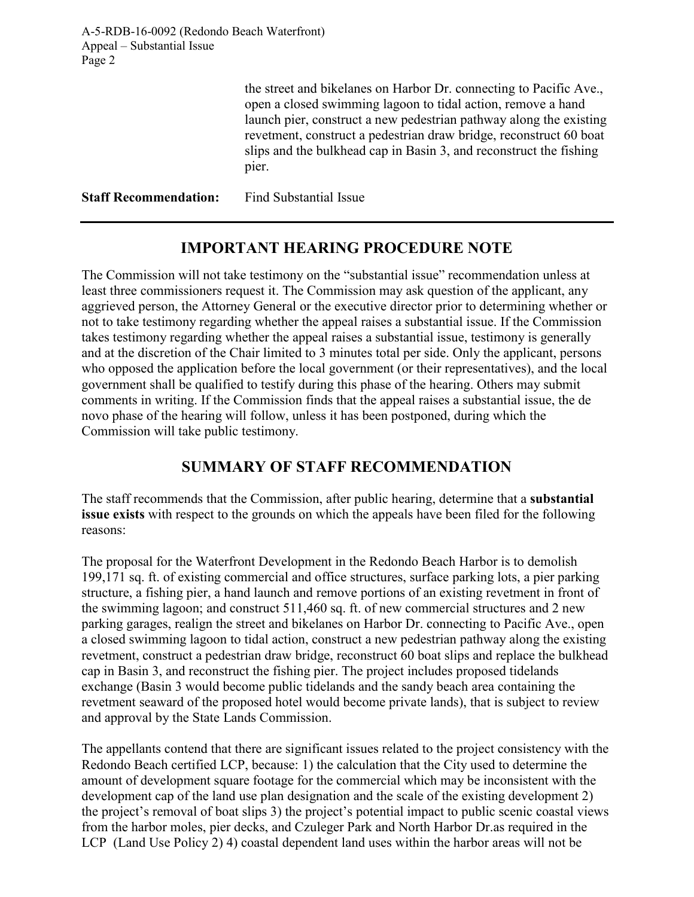> the street and bikelanes on Harbor Dr. connecting to Pacific Ave., open a closed swimming lagoon to tidal action, remove a hand launch pier, construct a new pedestrian pathway along the existing revetment, construct a pedestrian draw bridge, reconstruct 60 boat slips and the bulkhead cap in Basin 3, and reconstruct the fishing pier.

**Staff Recommendation:** Find Substantial Issue

### **IMPORTANT HEARING PROCEDURE NOTE**

The Commission will not take testimony on the "substantial issue" recommendation unless at least three commissioners request it. The Commission may ask question of the applicant, any aggrieved person, the Attorney General or the executive director prior to determining whether or not to take testimony regarding whether the appeal raises a substantial issue. If the Commission takes testimony regarding whether the appeal raises a substantial issue, testimony is generally and at the discretion of the Chair limited to 3 minutes total per side. Only the applicant, persons who opposed the application before the local government (or their representatives), and the local government shall be qualified to testify during this phase of the hearing. Others may submit comments in writing. If the Commission finds that the appeal raises a substantial issue, the de novo phase of the hearing will follow, unless it has been postponed, during which the Commission will take public testimony.

#### **SUMMARY OF STAFF RECOMMENDATION**

The staff recommends that the Commission, after public hearing, determine that a **substantial issue exists** with respect to the grounds on which the appeals have been filed for the following reasons:

The proposal for the Waterfront Development in the Redondo Beach Harbor is to demolish 199,171 sq. ft. of existing commercial and office structures, surface parking lots, a pier parking structure, a fishing pier, a hand launch and remove portions of an existing revetment in front of the swimming lagoon; and construct 511,460 sq. ft. of new commercial structures and 2 new parking garages, realign the street and bikelanes on Harbor Dr. connecting to Pacific Ave., open a closed swimming lagoon to tidal action, construct a new pedestrian pathway along the existing revetment, construct a pedestrian draw bridge, reconstruct 60 boat slips and replace the bulkhead cap in Basin 3, and reconstruct the fishing pier. The project includes proposed tidelands exchange (Basin 3 would become public tidelands and the sandy beach area containing the revetment seaward of the proposed hotel would become private lands), that is subject to review and approval by the State Lands Commission.

The appellants contend that there are significant issues related to the project consistency with the Redondo Beach certified LCP, because: 1) the calculation that the City used to determine the amount of development square footage for the commercial which may be inconsistent with the development cap of the land use plan designation and the scale of the existing development 2) the project's removal of boat slips 3) the project's potential impact to public scenic coastal views from the harbor moles, pier decks, and Czuleger Park and North Harbor Dr.as required in the LCP (Land Use Policy 2) 4) coastal dependent land uses within the harbor areas will not be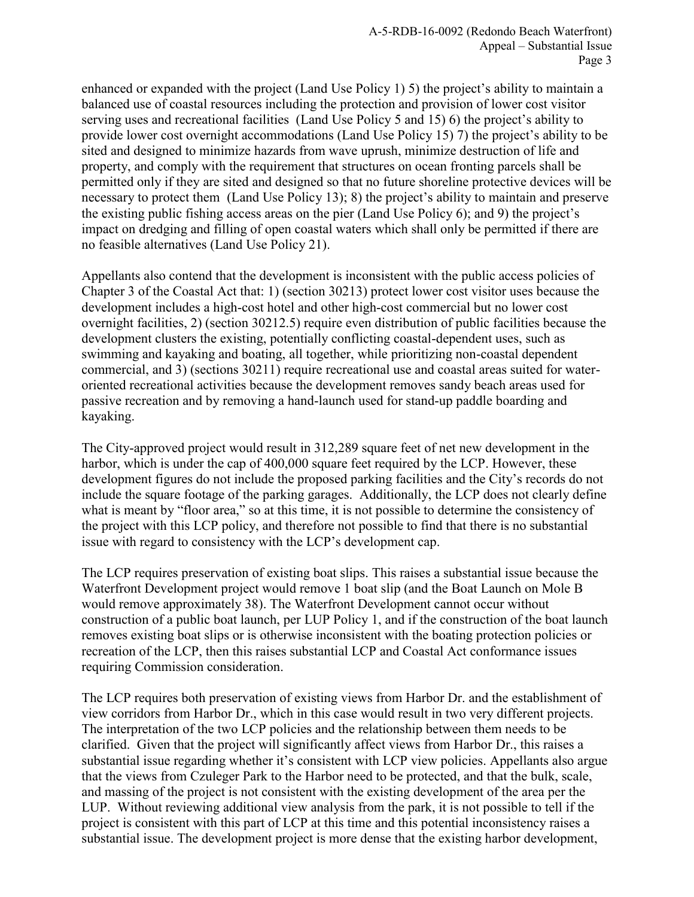enhanced or expanded with the project (Land Use Policy 1) 5) the project's ability to maintain a balanced use of coastal resources including the protection and provision of lower cost visitor serving uses and recreational facilities (Land Use Policy 5 and 15) 6) the project's ability to provide lower cost overnight accommodations (Land Use Policy 15) 7) the project's ability to be sited and designed to minimize hazards from wave uprush, minimize destruction of life and property, and comply with the requirement that structures on ocean fronting parcels shall be permitted only if they are sited and designed so that no future shoreline protective devices will be necessary to protect them (Land Use Policy 13); 8) the project's ability to maintain and preserve the existing public fishing access areas on the pier (Land Use Policy 6); and 9) the project's impact on dredging and filling of open coastal waters which shall only be permitted if there are no feasible alternatives (Land Use Policy 21).

Appellants also contend that the development is inconsistent with the public access policies of Chapter 3 of the Coastal Act that: 1) (section 30213) protect lower cost visitor uses because the development includes a high-cost hotel and other high-cost commercial but no lower cost overnight facilities, 2) (section 30212.5) require even distribution of public facilities because the development clusters the existing, potentially conflicting coastal-dependent uses, such as swimming and kayaking and boating, all together, while prioritizing non-coastal dependent commercial, and 3) (sections 30211) require recreational use and coastal areas suited for wateroriented recreational activities because the development removes sandy beach areas used for passive recreation and by removing a hand-launch used for stand-up paddle boarding and kayaking.

The City-approved project would result in 312,289 square feet of net new development in the harbor, which is under the cap of 400,000 square feet required by the LCP. However, these development figures do not include the proposed parking facilities and the City's records do not include the square footage of the parking garages. Additionally, the LCP does not clearly define what is meant by "floor area," so at this time, it is not possible to determine the consistency of the project with this LCP policy, and therefore not possible to find that there is no substantial issue with regard to consistency with the LCP's development cap.

The LCP requires preservation of existing boat slips. This raises a substantial issue because the Waterfront Development project would remove 1 boat slip (and the Boat Launch on Mole B would remove approximately 38). The Waterfront Development cannot occur without construction of a public boat launch, per LUP Policy 1, and if the construction of the boat launch removes existing boat slips or is otherwise inconsistent with the boating protection policies or recreation of the LCP, then this raises substantial LCP and Coastal Act conformance issues requiring Commission consideration.

The LCP requires both preservation of existing views from Harbor Dr. and the establishment of view corridors from Harbor Dr., which in this case would result in two very different projects. The interpretation of the two LCP policies and the relationship between them needs to be clarified. Given that the project will significantly affect views from Harbor Dr., this raises a substantial issue regarding whether it's consistent with LCP view policies. Appellants also argue that the views from Czuleger Park to the Harbor need to be protected, and that the bulk, scale, and massing of the project is not consistent with the existing development of the area per the LUP. Without reviewing additional view analysis from the park, it is not possible to tell if the project is consistent with this part of LCP at this time and this potential inconsistency raises a substantial issue. The development project is more dense that the existing harbor development,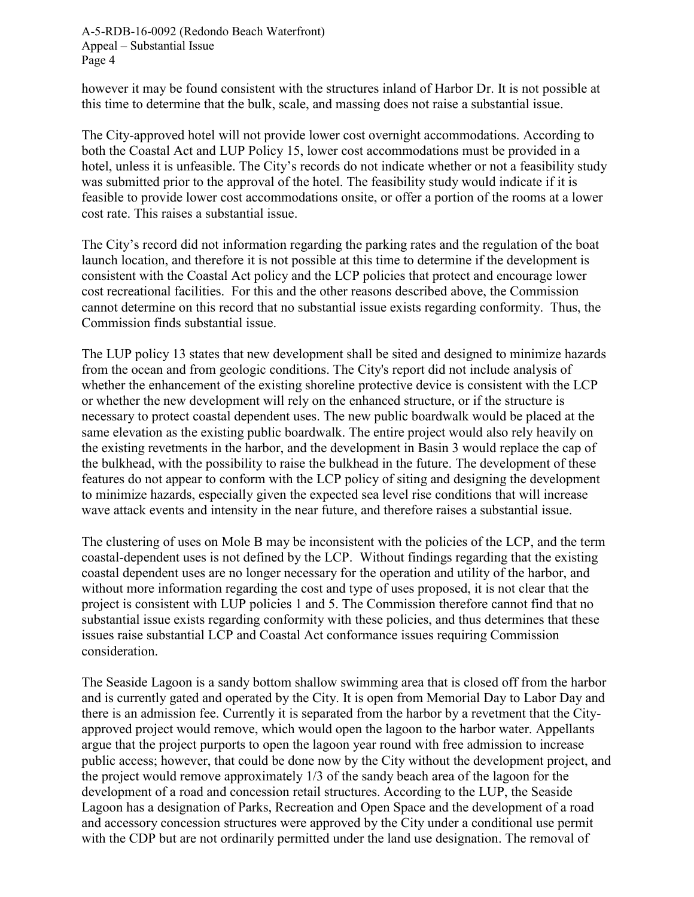however it may be found consistent with the structures inland of Harbor Dr. It is not possible at this time to determine that the bulk, scale, and massing does not raise a substantial issue.

The City-approved hotel will not provide lower cost overnight accommodations. According to both the Coastal Act and LUP Policy 15, lower cost accommodations must be provided in a hotel, unless it is unfeasible. The City's records do not indicate whether or not a feasibility study was submitted prior to the approval of the hotel. The feasibility study would indicate if it is feasible to provide lower cost accommodations onsite, or offer a portion of the rooms at a lower cost rate. This raises a substantial issue.

The City's record did not information regarding the parking rates and the regulation of the boat launch location, and therefore it is not possible at this time to determine if the development is consistent with the Coastal Act policy and the LCP policies that protect and encourage lower cost recreational facilities. For this and the other reasons described above, the Commission cannot determine on this record that no substantial issue exists regarding conformity. Thus, the Commission finds substantial issue.

The LUP policy 13 states that new development shall be sited and designed to minimize hazards from the ocean and from geologic conditions. The City's report did not include analysis of whether the enhancement of the existing shoreline protective device is consistent with the LCP or whether the new development will rely on the enhanced structure, or if the structure is necessary to protect coastal dependent uses. The new public boardwalk would be placed at the same elevation as the existing public boardwalk. The entire project would also rely heavily on the existing revetments in the harbor, and the development in Basin 3 would replace the cap of the bulkhead, with the possibility to raise the bulkhead in the future. The development of these features do not appear to conform with the LCP policy of siting and designing the development to minimize hazards, especially given the expected sea level rise conditions that will increase wave attack events and intensity in the near future, and therefore raises a substantial issue.

The clustering of uses on Mole B may be inconsistent with the policies of the LCP, and the term coastal-dependent uses is not defined by the LCP. Without findings regarding that the existing coastal dependent uses are no longer necessary for the operation and utility of the harbor, and without more information regarding the cost and type of uses proposed, it is not clear that the project is consistent with LUP policies 1 and 5. The Commission therefore cannot find that no substantial issue exists regarding conformity with these policies, and thus determines that these issues raise substantial LCP and Coastal Act conformance issues requiring Commission consideration.

The Seaside Lagoon is a sandy bottom shallow swimming area that is closed off from the harbor and is currently gated and operated by the City. It is open from Memorial Day to Labor Day and there is an admission fee. Currently it is separated from the harbor by a revetment that the Cityapproved project would remove, which would open the lagoon to the harbor water. Appellants argue that the project purports to open the lagoon year round with free admission to increase public access; however, that could be done now by the City without the development project, and the project would remove approximately 1/3 of the sandy beach area of the lagoon for the development of a road and concession retail structures. According to the LUP, the Seaside Lagoon has a designation of Parks, Recreation and Open Space and the development of a road and accessory concession structures were approved by the City under a conditional use permit with the CDP but are not ordinarily permitted under the land use designation. The removal of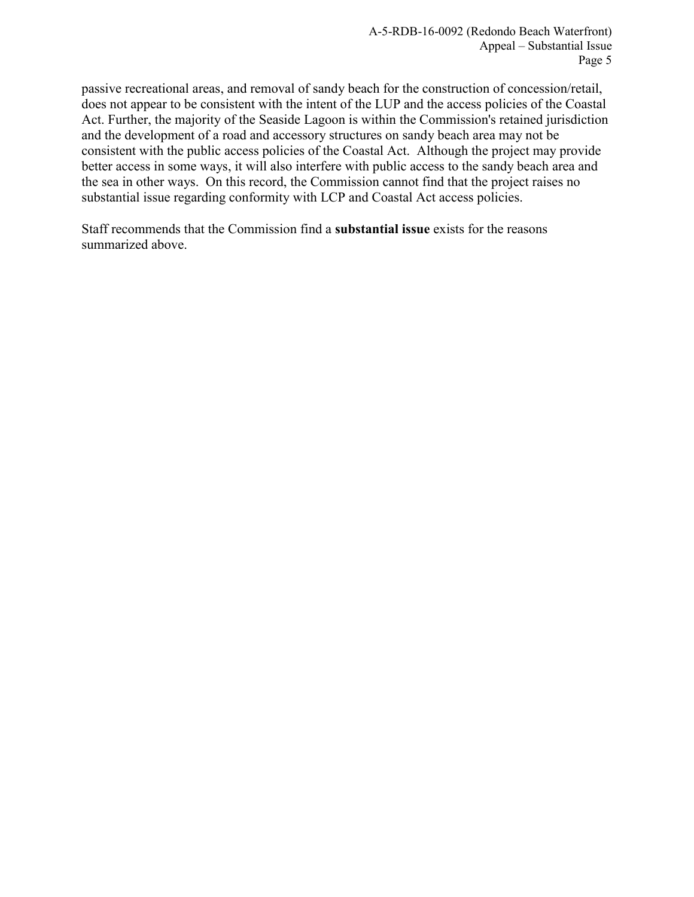passive recreational areas, and removal of sandy beach for the construction of concession/retail, does not appear to be consistent with the intent of the LUP and the access policies of the Coastal Act. Further, the majority of the Seaside Lagoon is within the Commission's retained jurisdiction and the development of a road and accessory structures on sandy beach area may not be consistent with the public access policies of the Coastal Act. Although the project may provide better access in some ways, it will also interfere with public access to the sandy beach area and the sea in other ways. On this record, the Commission cannot find that the project raises no substantial issue regarding conformity with LCP and Coastal Act access policies.

Staff recommends that the Commission find a **substantial issue** exists for the reasons summarized above.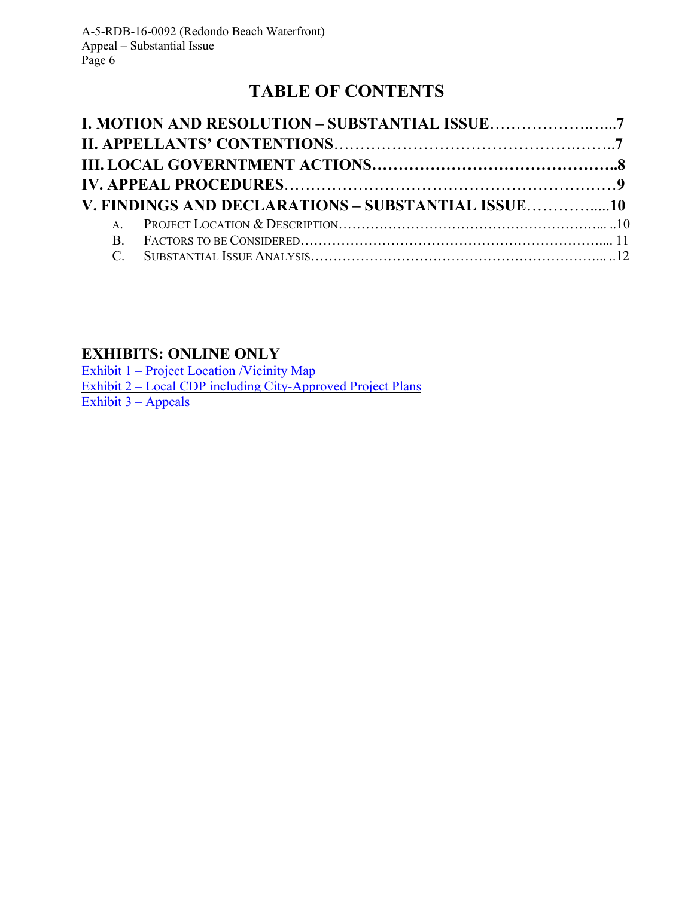# **TABLE OF CONTENTS**

| V. FINDINGS AND DECLARATIONS - SUBSTANTIAL ISSUE10 |  |
|----------------------------------------------------|--|
|                                                    |  |
|                                                    |  |
|                                                    |  |

## **EXHIBITS: ONLINE ONLY**

Exhibit 1 – [Project Location /Vicinity Map](https://documents.coastal.ca.gov/reports/2017/5/F15a/F15a-5-2017-exhibits.pdf)  Exhibit 2 [– Local CDP including City-Approved](https://documents.coastal.ca.gov/reports/2017/5/F15a/F15a-5-2017-exhibits.pdf) Project Plans [Exhibit 3](https://documents.coastal.ca.gov/reports/2017/5/F15a/F15a-5-2017-exhibits.pdf) – Appeals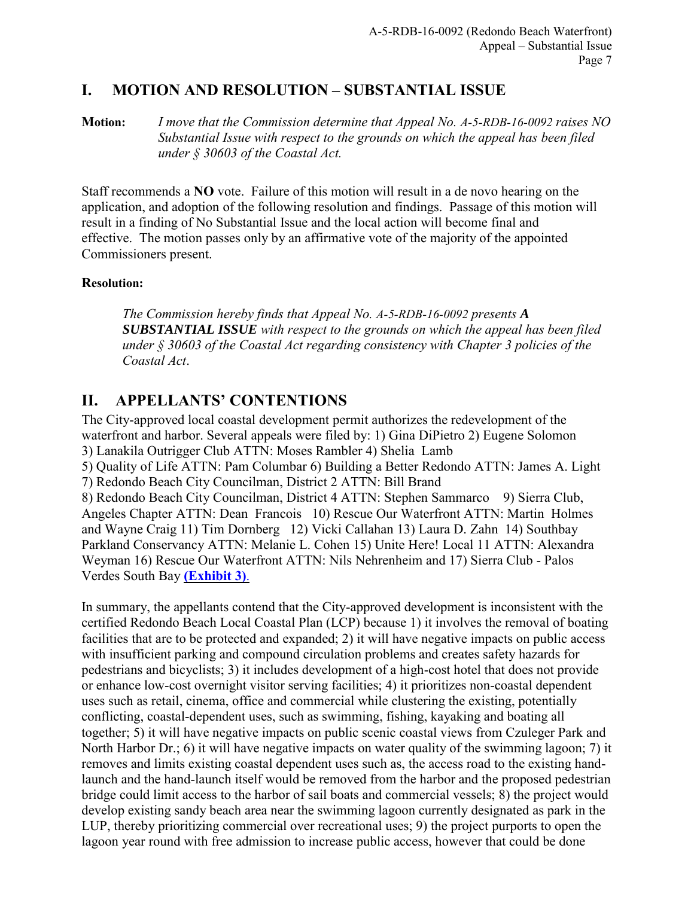### <span id="page-6-0"></span>**I. MOTION AND RESOLUTION – SUBSTANTIAL ISSUE**

**Motion:** *I move that the Commission determine that Appeal No. A-5-RDB-16-0092 raises NO Substantial Issue with respect to the grounds on which the appeal has been filed under § 30603 of the Coastal Act.*

Staff recommends a **NO** vote. Failure of this motion will result in a de novo hearing on the application, and adoption of the following resolution and findings. Passage of this motion will result in a finding of No Substantial Issue and the local action will become final and effective. The motion passes only by an affirmative vote of the majority of the appointed Commissioners present.

#### **Resolution:**

*The Commission hereby finds that Appeal No. A-5-RDB-16-0092 presents A SUBSTANTIAL ISSUE with respect to the grounds on which the appeal has been filed under § 30603 of the Coastal Act regarding consistency with Chapter 3 policies of the Coastal Act*.

### **II. APPELLANTS' CONTENTIONS**

The City-approved local coastal development permit authorizes the redevelopment of the waterfront and harbor. Several appeals were filed by: 1) Gina DiPietro 2) Eugene Solomon 3) Lanakila Outrigger Club ATTN: Moses Rambler 4) Shelia Lamb 5) Quality of Life ATTN: Pam Columbar 6) Building a Better Redondo ATTN: James A. Light 7) Redondo Beach City Councilman, District 2 ATTN: Bill Brand 8) Redondo Beach City Councilman, District 4 ATTN: Stephen Sammarco 9) Sierra Club, Angeles Chapter ATTN: Dean Francois 10) Rescue Our Waterfront ATTN: Martin Holmes and Wayne Craig 11) Tim Dornberg 12) Vicki Callahan 13) Laura D. Zahn 14) Southbay Parkland Conservancy ATTN: Melanie L. Cohen 15) Unite Here! Local 11 ATTN: Alexandra Weyman 16) Rescue Our Waterfront ATTN: Nils Nehrenheim and 17) Sierra Club - Palos Verdes South Bay **[\(Exhibit 3\)](https://documents.coastal.ca.gov/reports/2017/5/F15a/F15a-5-2017-exhibits.pdf)**.

In summary, the appellants contend that the City-approved development is inconsistent with the certified Redondo Beach Local Coastal Plan (LCP) because 1) it involves the removal of boating facilities that are to be protected and expanded; 2) it will have negative impacts on public access with insufficient parking and compound circulation problems and creates safety hazards for pedestrians and bicyclists; 3) it includes development of a high-cost hotel that does not provide or enhance low-cost overnight visitor serving facilities; 4) it prioritizes non-coastal dependent uses such as retail, cinema, office and commercial while clustering the existing, potentially conflicting, coastal-dependent uses, such as swimming, fishing, kayaking and boating all together; 5) it will have negative impacts on public scenic coastal views from Czuleger Park and North Harbor Dr.; 6) it will have negative impacts on water quality of the swimming lagoon; 7) it removes and limits existing coastal dependent uses such as, the access road to the existing handlaunch and the hand-launch itself would be removed from the harbor and the proposed pedestrian bridge could limit access to the harbor of sail boats and commercial vessels; 8) the project would develop existing sandy beach area near the swimming lagoon currently designated as park in the LUP, thereby prioritizing commercial over recreational uses; 9) the project purports to open the lagoon year round with free admission to increase public access, however that could be done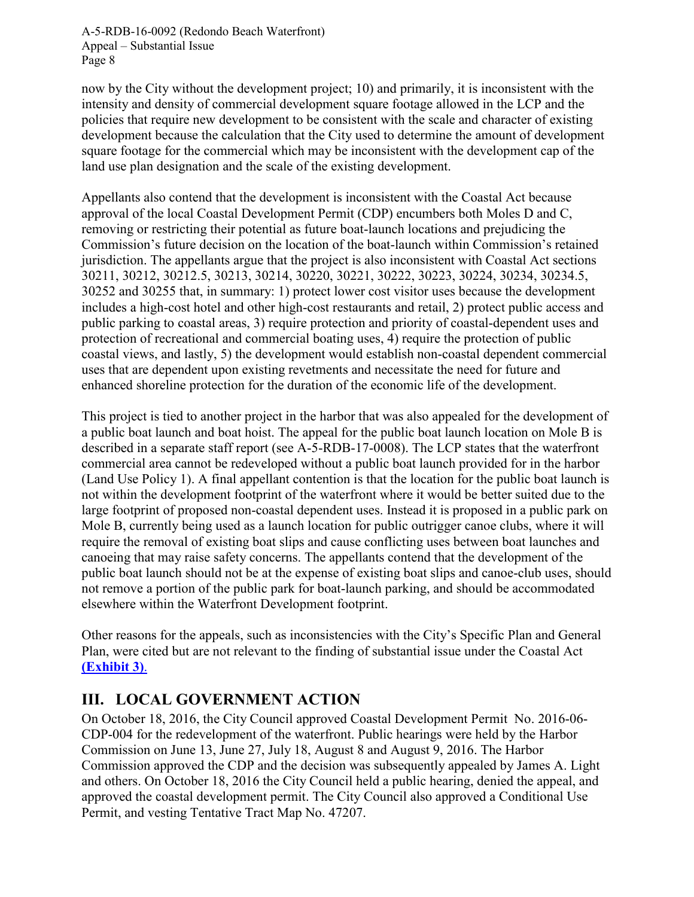<span id="page-7-0"></span>now by the City without the development project; 10) and primarily, it is inconsistent with the intensity and density of commercial development square footage allowed in the LCP and the policies that require new development to be consistent with the scale and character of existing development because the calculation that the City used to determine the amount of development square footage for the commercial which may be inconsistent with the development cap of the land use plan designation and the scale of the existing development.

Appellants also contend that the development is inconsistent with the Coastal Act because approval of the local Coastal Development Permit (CDP) encumbers both Moles D and C, removing or restricting their potential as future boat-launch locations and prejudicing the Commission's future decision on the location of the boat-launch within Commission's retained jurisdiction. The appellants argue that the project is also inconsistent with Coastal Act sections 30211, 30212, 30212.5, 30213, 30214, 30220, 30221, 30222, 30223, 30224, 30234, 30234.5, 30252 and 30255 that, in summary: 1) protect lower cost visitor uses because the development includes a high-cost hotel and other high-cost restaurants and retail, 2) protect public access and public parking to coastal areas, 3) require protection and priority of coastal-dependent uses and protection of recreational and commercial boating uses, 4) require the protection of public coastal views, and lastly, 5) the development would establish non-coastal dependent commercial uses that are dependent upon existing revetments and necessitate the need for future and enhanced shoreline protection for the duration of the economic life of the development.

This project is tied to another project in the harbor that was also appealed for the development of a public boat launch and boat hoist. The appeal for the public boat launch location on Mole B is described in a separate staff report (see A-5-RDB-17-0008). The LCP states that the waterfront commercial area cannot be redeveloped without a public boat launch provided for in the harbor (Land Use Policy 1). A final appellant contention is that the location for the public boat launch is not within the development footprint of the waterfront where it would be better suited due to the large footprint of proposed non-coastal dependent uses. Instead it is proposed in a public park on Mole B, currently being used as a launch location for public outrigger canoe clubs, where it will require the removal of existing boat slips and cause conflicting uses between boat launches and canoeing that may raise safety concerns. The appellants contend that the development of the public boat launch should not be at the expense of existing boat slips and canoe-club uses, should not remove a portion of the public park for boat-launch parking, and should be accommodated elsewhere within the Waterfront Development footprint.

Other reasons for the appeals, such as inconsistencies with the City's Specific Plan and General Plan, were cited but are not relevant to the finding of substantial issue under the Coastal Act **[\(Exhibit 3\)](https://documents.coastal.ca.gov/reports/2017/5/F15a/F15a-5-2017-exhibits.pdf)**.

### **III. LOCAL GOVERNMENT ACTION**

On October 18, 2016, the City Council approved Coastal Development Permit No. 2016-06- CDP-004 for the redevelopment of the waterfront. Public hearings were held by the Harbor Commission on June 13, June 27, July 18, August 8 and August 9, 2016. The Harbor Commission approved the CDP and the decision was subsequently appealed by James A. Light and others. On October 18, 2016 the City Council held a public hearing, denied the appeal, and approved the coastal development permit. The City Council also approved a Conditional Use Permit, and vesting Tentative Tract Map No. 47207.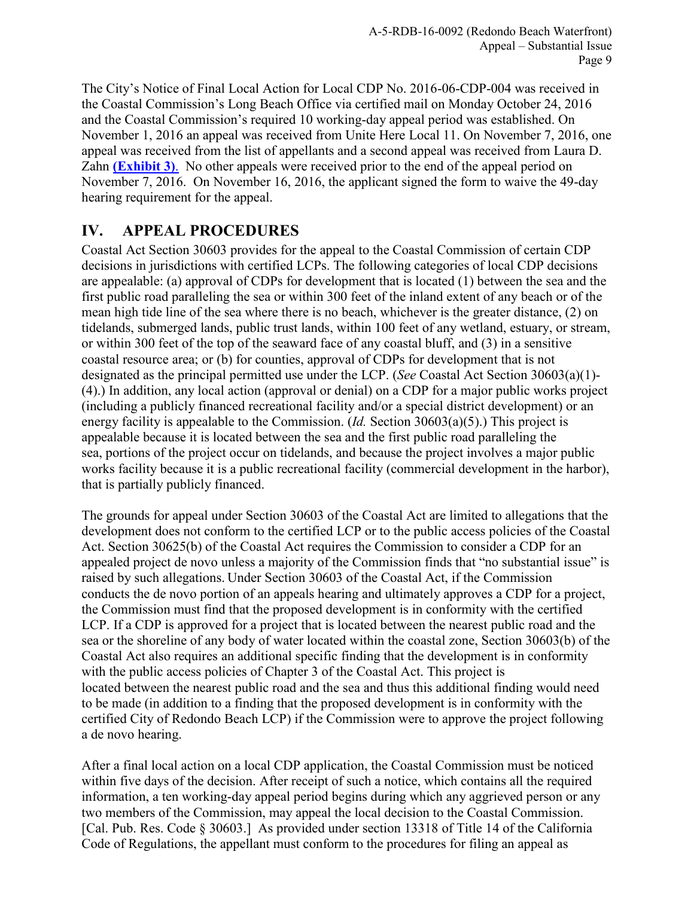<span id="page-8-0"></span>The City's Notice of Final Local Action for Local CDP No. 2016-06-CDP-004 was received in the Coastal Commission's Long Beach Office via certified mail on Monday October 24, 2016 and the Coastal Commission's required 10 working-day appeal period was established. On November 1, 2016 an appeal was received from Unite Here Local 11. On November 7, 2016, one appeal was received from the list of appellants and a second appeal was received from Laura D. Zahn **[\(Exhibit 3\)](https://documents.coastal.ca.gov/reports/2017/5/F15a/F15a-5-2017-exhibits.pdf)**. No other appeals were received prior to the end of the appeal period on November 7, 2016. On November 16, 2016, the applicant signed the form to waive the 49-day hearing requirement for the appeal.

### **IV. APPEAL PROCEDURES**

Coastal Act Section 30603 provides for the appeal to the Coastal Commission of certain CDP decisions in jurisdictions with certified LCPs. The following categories of local CDP decisions are appealable: (a) approval of CDPs for development that is located (1) between the sea and the first public road paralleling the sea or within 300 feet of the inland extent of any beach or of the mean high tide line of the sea where there is no beach, whichever is the greater distance, (2) on tidelands, submerged lands, public trust lands, within 100 feet of any wetland, estuary, or stream, or within 300 feet of the top of the seaward face of any coastal bluff, and (3) in a sensitive coastal resource area; or (b) for counties, approval of CDPs for development that is not designated as the principal permitted use under the LCP. (*See* Coastal Act Section 30603(a)(1)- (4).) In addition, any local action (approval or denial) on a CDP for a major public works project (including a publicly financed recreational facility and/or a special district development) or an energy facility is appealable to the Commission. (*Id.* Section 30603(a)(5).) This project is appealable because it is located between the sea and the first public road paralleling the sea, portions of the project occur on tidelands, and because the project involves a major public works facility because it is a public recreational facility (commercial development in the harbor), that is partially publicly financed.

The grounds for appeal under Section 30603 of the Coastal Act are limited to allegations that the development does not conform to the certified LCP or to the public access policies of the Coastal Act. Section 30625(b) of the Coastal Act requires the Commission to consider a CDP for an appealed project de novo unless a majority of the Commission finds that "no substantial issue" is raised by such allegations. Under Section 30603 of the Coastal Act, if the Commission conducts the de novo portion of an appeals hearing and ultimately approves a CDP for a project, the Commission must find that the proposed development is in conformity with the certified LCP. If a CDP is approved for a project that is located between the nearest public road and the sea or the shoreline of any body of water located within the coastal zone, Section 30603(b) of the Coastal Act also requires an additional specific finding that the development is in conformity with the public access policies of Chapter 3 of the Coastal Act. This project is located between the nearest public road and the sea and thus this additional finding would need to be made (in addition to a finding that the proposed development is in conformity with the certified City of Redondo Beach LCP) if the Commission were to approve the project following a de novo hearing.

After a final local action on a local CDP application, the Coastal Commission must be noticed within five days of the decision. After receipt of such a notice, which contains all the required information, a ten working-day appeal period begins during which any aggrieved person or any two members of the Commission, may appeal the local decision to the Coastal Commission. [Cal. Pub. Res. Code § 30603.] As provided under section 13318 of Title 14 of the California Code of Regulations, the appellant must conform to the procedures for filing an appeal as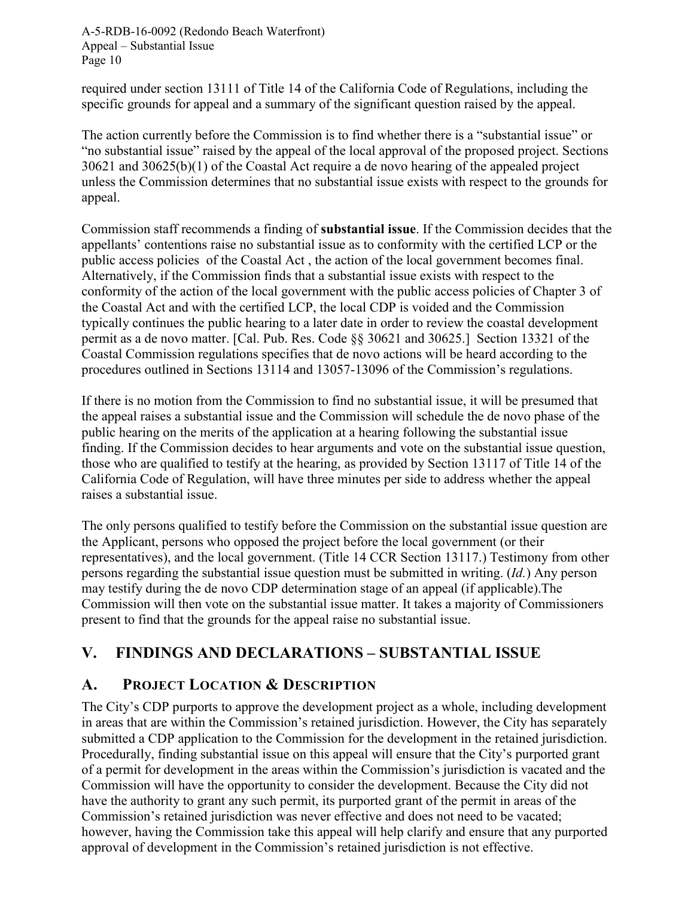<span id="page-9-0"></span>required under section 13111 of Title 14 of the California Code of Regulations, including the specific grounds for appeal and a summary of the significant question raised by the appeal.

The action currently before the Commission is to find whether there is a "substantial issue" or "no substantial issue" raised by the appeal of the local approval of the proposed project. Sections 30621 and 30625(b)(1) of the Coastal Act require a de novo hearing of the appealed project unless the Commission determines that no substantial issue exists with respect to the grounds for appeal.

Commission staff recommends a finding of **substantial issue**. If the Commission decides that the appellants' contentions raise no substantial issue as to conformity with the certified LCP or the public access policies of the Coastal Act , the action of the local government becomes final. Alternatively, if the Commission finds that a substantial issue exists with respect to the conformity of the action of the local government with the public access policies of Chapter 3 of the Coastal Act and with the certified LCP, the local CDP is voided and the Commission typically continues the public hearing to a later date in order to review the coastal development permit as a de novo matter. [Cal. Pub. Res. Code §§ 30621 and 30625.] Section 13321 of the Coastal Commission regulations specifies that de novo actions will be heard according to the procedures outlined in Sections 13114 and 13057-13096 of the Commission's regulations.

If there is no motion from the Commission to find no substantial issue, it will be presumed that the appeal raises a substantial issue and the Commission will schedule the de novo phase of the public hearing on the merits of the application at a hearing following the substantial issue finding. If the Commission decides to hear arguments and vote on the substantial issue question, those who are qualified to testify at the hearing, as provided by Section 13117 of Title 14 of the California Code of Regulation, will have three minutes per side to address whether the appeal raises a substantial issue.

The only persons qualified to testify before the Commission on the substantial issue question are the Applicant, persons who opposed the project before the local government (or their representatives), and the local government. (Title 14 CCR Section 13117.) Testimony from other persons regarding the substantial issue question must be submitted in writing. (*Id.*) Any person may testify during the de novo CDP determination stage of an appeal (if applicable).The Commission will then vote on the substantial issue matter. It takes a majority of Commissioners present to find that the grounds for the appeal raise no substantial issue.

## **V. FINDINGS AND DECLARATIONS – SUBSTANTIAL ISSUE**

### **A. PROJECT LOCATION & DESCRIPTION**

The City's CDP purports to approve the development project as a whole, including development in areas that are within the Commission's retained jurisdiction. However, the City has separately submitted a CDP application to the Commission for the development in the retained jurisdiction. Procedurally, finding substantial issue on this appeal will ensure that the City's purported grant of a permit for development in the areas within the Commission's jurisdiction is vacated and the Commission will have the opportunity to consider the development. Because the City did not have the authority to grant any such permit, its purported grant of the permit in areas of the Commission's retained jurisdiction was never effective and does not need to be vacated; however, having the Commission take this appeal will help clarify and ensure that any purported approval of development in the Commission's retained jurisdiction is not effective.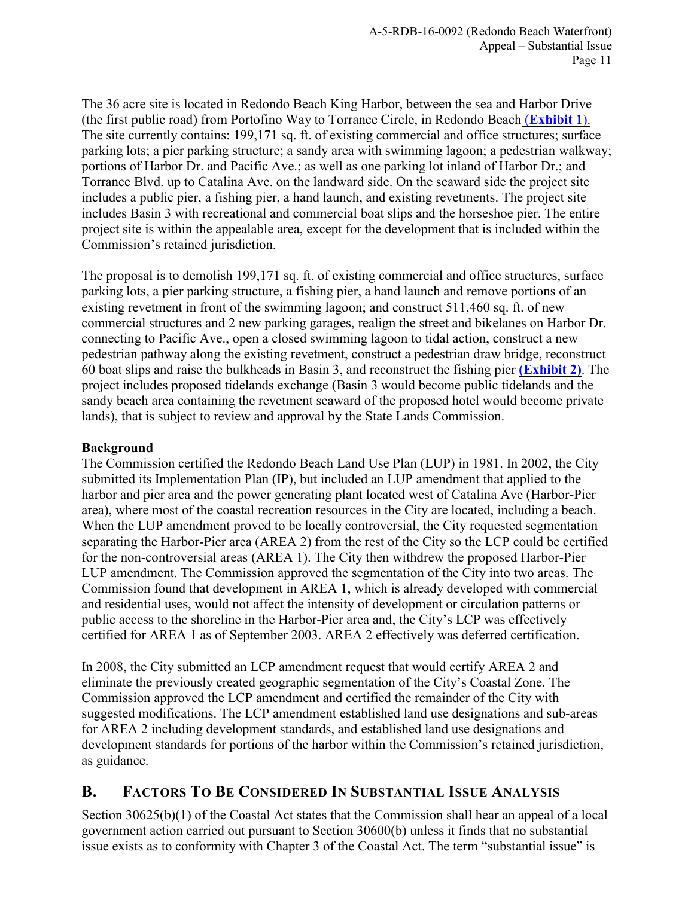The 36 acre site is located in Redondo Beach King Harbor, between the sea and Harbor Drive (the first public road) from Portofino Way to Torrance Circle, in Redondo Beach (**[Exhibit 1](https://documents.coastal.ca.gov/reports/2017/5/F15a/F15a-5-2017-exhibits.pdf)**). The site currently contains: 199,171 sq. ft. of existing commercial and office structures; surface parking lots; a pier parking structure; a sandy area with swimming lagoon; a pedestrian walkway; portions of Harbor Dr. and Pacific Ave.; as well as one parking lot inland of Harbor Dr.; and Torrance Blvd. up to Catalina Ave. on the landward side. On the seaward side the project site includes a public pier, a fishing pier, a hand launch, and existing revetments. The project site includes Basin 3 with recreational and commercial boat slips and the horseshoe pier. The entire project site is within the appealable area, except for the development that is included within the Commission's retained jurisdiction.

The proposal is to demolish 199,171 sq. ft. of existing commercial and office structures, surface parking lots, a pier parking structure, a fishing pier, a hand launch and remove portions of an existing revetment in front of the swimming lagoon; and construct 511,460 sq. ft. of new commercial structures and 2 new parking garages, realign the street and bikelanes on Harbor Dr. connecting to Pacific Ave., open a closed swimming lagoon to tidal action, construct a new pedestrian pathway along the existing revetment, construct a pedestrian draw bridge, reconstruct 60 boat slips and raise the bulkheads in Basin 3, and reconstruct the fishing pier **[\(Exhibit 2\)](https://documents.coastal.ca.gov/reports/2017/5/F15a/F15a-5-2017-exhibits.pdf)**. The project includes proposed tidelands exchange (Basin 3 would become public tidelands and the sandy beach area containing the revetment seaward of the proposed hotel would become private lands), that is subject to review and approval by the State Lands Commission.

#### **Background**

The Commission certified the Redondo Beach Land Use Plan (LUP) in 1981. In 2002, the City submitted its Implementation Plan (IP), but included an LUP amendment that applied to the harbor and pier area and the power generating plant located west of Catalina Ave (Harbor-Pier area), where most of the coastal recreation resources in the City are located, including a beach. When the LUP amendment proved to be locally controversial, the City requested segmentation separating the Harbor-Pier area (AREA 2) from the rest of the City so the LCP could be certified for the non-controversial areas (AREA 1). The City then withdrew the proposed Harbor-Pier LUP amendment. The Commission approved the segmentation of the City into two areas. The Commission found that development in AREA 1, which is already developed with commercial and residential uses, would not affect the intensity of development or circulation patterns or public access to the shoreline in the Harbor-Pier area and, the City's LCP was effectively certified for AREA 1 as of September 2003. AREA 2 effectively was deferred certification.

In 2008, the City submitted an LCP amendment request that would certify AREA 2 and eliminate the previously created geographic segmentation of the City's Coastal Zone. The Commission approved the LCP amendment and certified the remainder of the City with suggested modifications. The LCP amendment established land use designations and sub-areas for AREA 2 including development standards, and established land use designations and development standards for portions of the harbor within the Commission's retained jurisdiction, as guidance.

#### **B. FACTORS TO BE CONSIDERED IN SUBSTANTIAL ISSUE ANALYSIS**

Section 30625(b)(1) of the Coastal Act states that the Commission shall hear an appeal of a local government action carried out pursuant to Section 30600(b) unless it finds that no substantial issue exists as to conformity with Chapter 3 of the Coastal Act. The term "substantial issue" is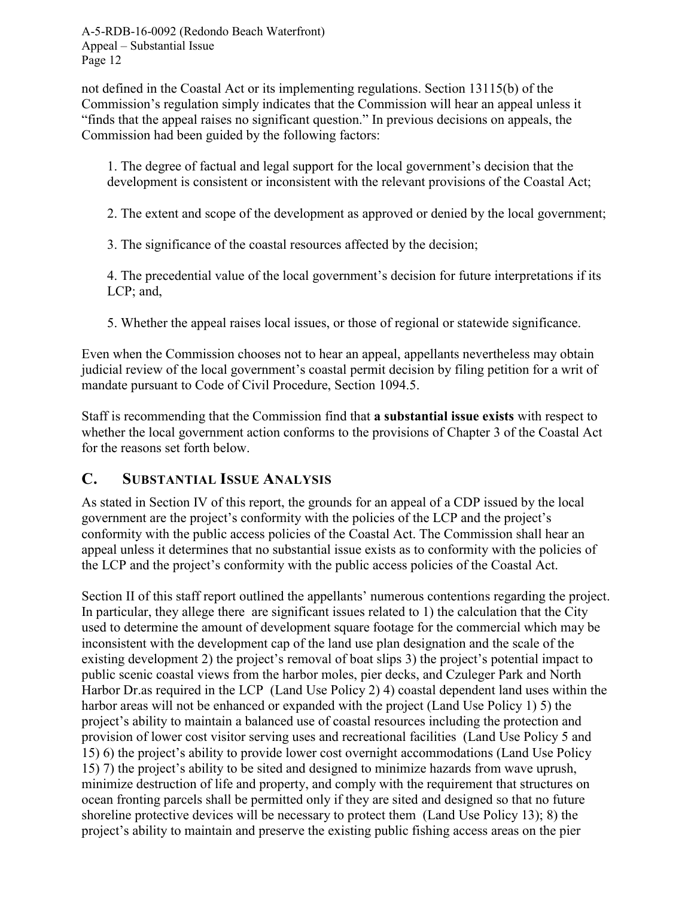<span id="page-11-0"></span>not defined in the Coastal Act or its implementing regulations. Section 13115(b) of the Commission's regulation simply indicates that the Commission will hear an appeal unless it "finds that the appeal raises no significant question." In previous decisions on appeals, the Commission had been guided by the following factors:

1. The degree of factual and legal support for the local government's decision that the development is consistent or inconsistent with the relevant provisions of the Coastal Act;

2. The extent and scope of the development as approved or denied by the local government;

3. The significance of the coastal resources affected by the decision;

4. The precedential value of the local government's decision for future interpretations if its LCP; and,

5. Whether the appeal raises local issues, or those of regional or statewide significance.

Even when the Commission chooses not to hear an appeal, appellants nevertheless may obtain judicial review of the local government's coastal permit decision by filing petition for a writ of mandate pursuant to Code of Civil Procedure, Section 1094.5.

Staff is recommending that the Commission find that **a substantial issue exists** with respect to whether the local government action conforms to the provisions of Chapter 3 of the Coastal Act for the reasons set forth below.

### **C. SUBSTANTIAL ISSUE ANALYSIS**

As stated in Section IV of this report, the grounds for an appeal of a CDP issued by the local government are the project's conformity with the policies of the LCP and the project's conformity with the public access policies of the Coastal Act. The Commission shall hear an appeal unless it determines that no substantial issue exists as to conformity with the policies of the LCP and the project's conformity with the public access policies of the Coastal Act.

Section II of this staff report outlined the appellants' numerous contentions regarding the project. In particular, they allege there are significant issues related to 1) the calculation that the City used to determine the amount of development square footage for the commercial which may be inconsistent with the development cap of the land use plan designation and the scale of the existing development 2) the project's removal of boat slips 3) the project's potential impact to public scenic coastal views from the harbor moles, pier decks, and Czuleger Park and North Harbor Dr.as required in the LCP (Land Use Policy 2) 4) coastal dependent land uses within the harbor areas will not be enhanced or expanded with the project (Land Use Policy 1) 5) the project's ability to maintain a balanced use of coastal resources including the protection and provision of lower cost visitor serving uses and recreational facilities (Land Use Policy 5 and 15) 6) the project's ability to provide lower cost overnight accommodations (Land Use Policy 15) 7) the project's ability to be sited and designed to minimize hazards from wave uprush, minimize destruction of life and property, and comply with the requirement that structures on ocean fronting parcels shall be permitted only if they are sited and designed so that no future shoreline protective devices will be necessary to protect them (Land Use Policy 13); 8) the project's ability to maintain and preserve the existing public fishing access areas on the pier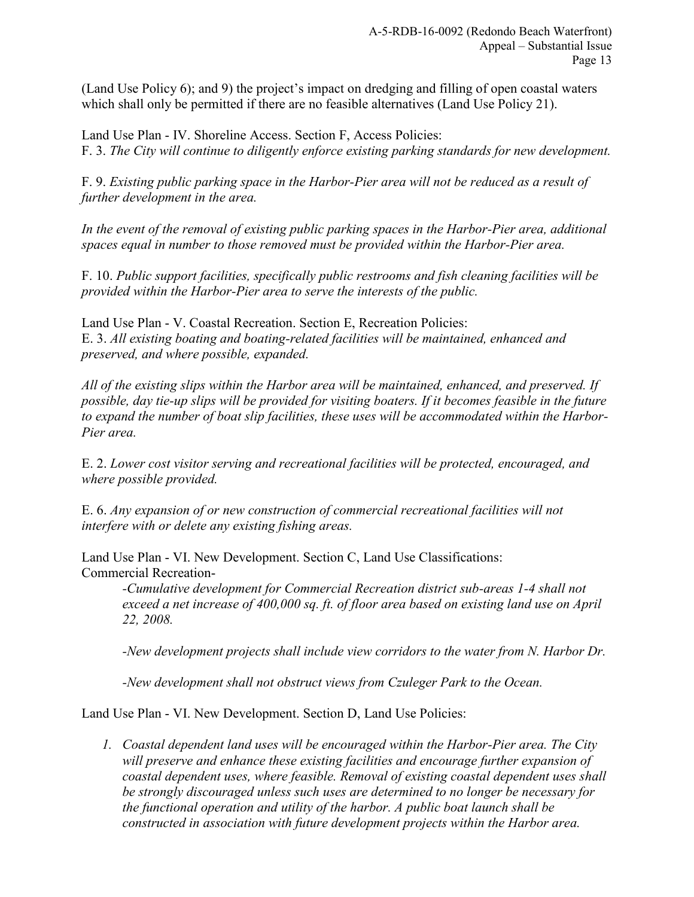(Land Use Policy 6); and 9) the project's impact on dredging and filling of open coastal waters which shall only be permitted if there are no feasible alternatives (Land Use Policy 21).

Land Use Plan - IV. Shoreline Access. Section F, Access Policies: F. 3. *The City will continue to diligently enforce existing parking standards for new development.* 

F. 9. *Existing public parking space in the Harbor-Pier area will not be reduced as a result of further development in the area.* 

*In the event of the removal of existing public parking spaces in the Harbor-Pier area, additional spaces equal in number to those removed must be provided within the Harbor-Pier area.* 

F. 10. *Public support facilities, specifically public restrooms and fish cleaning facilities will be provided within the Harbor-Pier area to serve the interests of the public.* 

Land Use Plan - V. Coastal Recreation. Section E, Recreation Policies: E. 3. *All existing boating and boating-related facilities will be maintained, enhanced and preserved, and where possible, expanded.* 

*All of the existing slips within the Harbor area will be maintained, enhanced, and preserved. If possible, day tie-up slips will be provided for visiting boaters. If it becomes feasible in the future to expand the number of boat slip facilities, these uses will be accommodated within the Harbor-Pier area.* 

E. 2. *Lower cost visitor serving and recreational facilities will be protected, encouraged, and where possible provided.* 

E. 6. *Any expansion of or new construction of commercial recreational facilities will not interfere with or delete any existing fishing areas.* 

Land Use Plan - VI. New Development. Section C, Land Use Classifications: Commercial Recreation-

*-Cumulative development for Commercial Recreation district sub-areas 1-4 shall not exceed a net increase of 400,000 sq. ft. of floor area based on existing land use on April 22, 2008.* 

*-New development projects shall include view corridors to the water from N. Harbor Dr.* 

*-New development shall not obstruct views from Czuleger Park to the Ocean.* 

Land Use Plan - VI. New Development. Section D, Land Use Policies:

*1. Coastal dependent land uses will be encouraged within the Harbor-Pier area. The City will preserve and enhance these existing facilities and encourage further expansion of coastal dependent uses, where feasible. Removal of existing coastal dependent uses shall be strongly discouraged unless such uses are determined to no longer be necessary for the functional operation and utility of the harbor. A public boat launch shall be constructed in association with future development projects within the Harbor area.*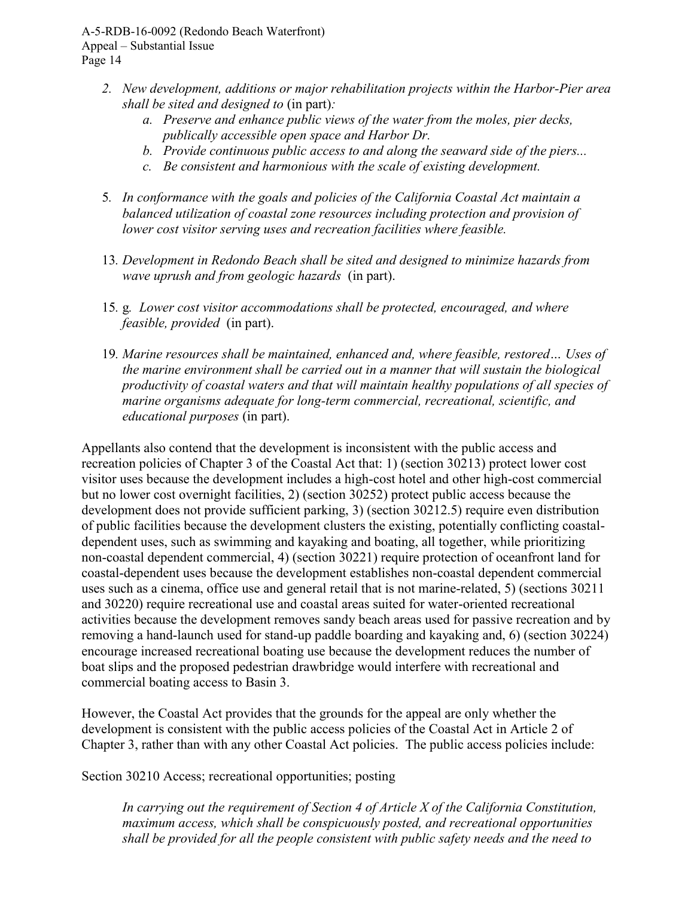- *2. New development, additions or major rehabilitation projects within the Harbor-Pier area shall be sited and designed to* (in part)*:* 
	- *a. Preserve and enhance public views of the water from the moles, pier decks, publically accessible open space and Harbor Dr.*
	- *b. Provide continuous public access to and along the seaward side of the piers...*
	- *c. Be consistent and harmonious with the scale of existing development.*
- 5*. In conformance with the goals and policies of the California Coastal Act maintain a balanced utilization of coastal zone resources including protection and provision of lower cost visitor serving uses and recreation facilities where feasible.*
- 13*. Development in Redondo Beach shall be sited and designed to minimize hazards from wave uprush and from geologic hazards* (in part).
- 15*.* g*. Lower cost visitor accommodations shall be protected, encouraged, and where feasible, provided* (in part).
- 19*. Marine resources shall be maintained, enhanced and, where feasible, restored… Uses of the marine environment shall be carried out in a manner that will sustain the biological productivity of coastal waters and that will maintain healthy populations of all species of marine organisms adequate for long-term commercial, recreational, scientific, and educational purposes* (in part).

Appellants also contend that the development is inconsistent with the public access and recreation policies of Chapter 3 of the Coastal Act that: 1) (section 30213) protect lower cost visitor uses because the development includes a high-cost hotel and other high-cost commercial but no lower cost overnight facilities, 2) (section 30252) protect public access because the development does not provide sufficient parking, 3) (section 30212.5) require even distribution of public facilities because the development clusters the existing, potentially conflicting coastaldependent uses, such as swimming and kayaking and boating, all together, while prioritizing non-coastal dependent commercial, 4) (section 30221) require protection of oceanfront land for coastal-dependent uses because the development establishes non-coastal dependent commercial uses such as a cinema, office use and general retail that is not marine-related, 5) (sections 30211 and 30220) require recreational use and coastal areas suited for water-oriented recreational activities because the development removes sandy beach areas used for passive recreation and by removing a hand-launch used for stand-up paddle boarding and kayaking and, 6) (section 30224) encourage increased recreational boating use because the development reduces the number of boat slips and the proposed pedestrian drawbridge would interfere with recreational and commercial boating access to Basin 3.

However, the Coastal Act provides that the grounds for the appeal are only whether the development is consistent with the public access policies of the Coastal Act in Article 2 of Chapter 3, rather than with any other Coastal Act policies. The public access policies include:

Section 30210 Access; recreational opportunities; posting

*In carrying out the requirement of [Section 4 of Article X of the California Constitution,](http://www.leginfo.ca.gov/calaw.html) maximum access, which shall be conspicuously posted, and recreational opportunities shall be provided for all the people consistent with public safety needs and the need to*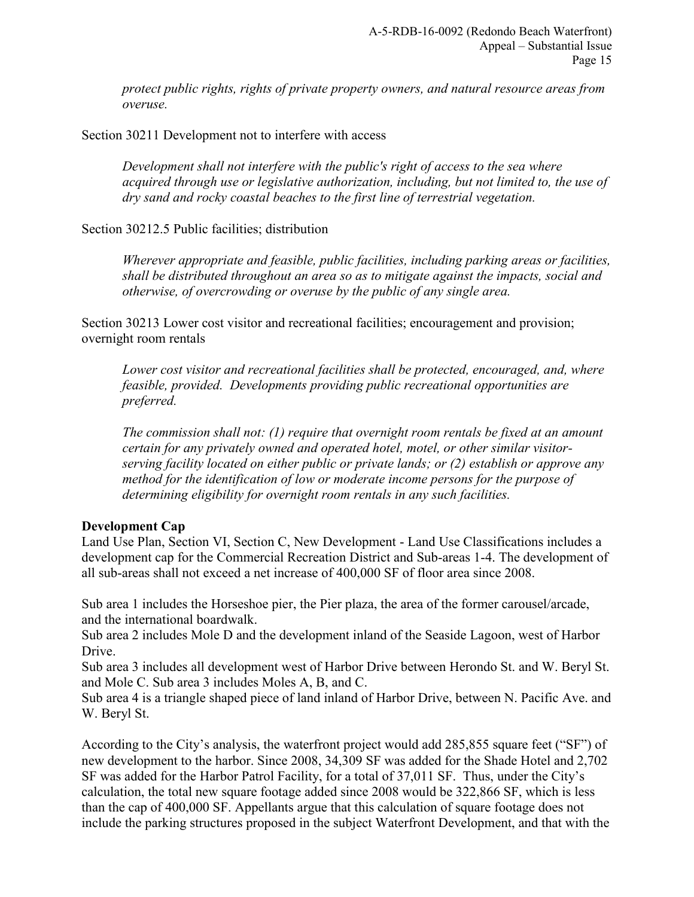*protect public rights, rights of private property owners, and natural resource areas from overuse.* 

Section 30211 Development not to interfere with access

*Development shall not interfere with the public's right of access to the sea where acquired through use or legislative authorization, including, but not limited to, the use of dry sand and rocky coastal beaches to the first line of terrestrial vegetation.* 

Section 30212.5 Public facilities; distribution

*Wherever appropriate and feasible, public facilities, including parking areas or facilities, shall be distributed throughout an area so as to mitigate against the impacts, social and otherwise, of overcrowding or overuse by the public of any single area.* 

Section 30213 Lower cost visitor and recreational facilities; encouragement and provision; overnight room rentals

*Lower cost visitor and recreational facilities shall be protected, encouraged, and, where feasible, provided. Developments providing public recreational opportunities are preferred.* 

*The commission shall not: (1) require that overnight room rentals be fixed at an amount certain for any privately owned and operated hotel, motel, or other similar visitorserving facility located on either public or private lands; or (2) establish or approve any method for the identification of low or moderate income persons for the purpose of determining eligibility for overnight room rentals in any such facilities.* 

#### **Development Cap**

Land Use Plan, Section VI, Section C, New Development - Land Use Classifications includes a development cap for the Commercial Recreation District and Sub-areas 1-4. The development of all sub-areas shall not exceed a net increase of 400,000 SF of floor area since 2008.

Sub area 1 includes the Horseshoe pier, the Pier plaza, the area of the former carousel/arcade, and the international boardwalk.

Sub area 2 includes Mole D and the development inland of the Seaside Lagoon, west of Harbor Drive.

Sub area 3 includes all development west of Harbor Drive between Herondo St. and W. Beryl St. and Mole C. Sub area 3 includes Moles A, B, and C.

Sub area 4 is a triangle shaped piece of land inland of Harbor Drive, between N. Pacific Ave. and W. Beryl St.

According to the City's analysis, the waterfront project would add 285,855 square feet ("SF") of new development to the harbor. Since 2008, 34,309 SF was added for the Shade Hotel and 2,702 SF was added for the Harbor Patrol Facility, for a total of 37,011 SF. Thus, under the City's calculation, the total new square footage added since 2008 would be 322,866 SF, which is less than the cap of 400,000 SF. Appellants argue that this calculation of square footage does not include the parking structures proposed in the subject Waterfront Development, and that with the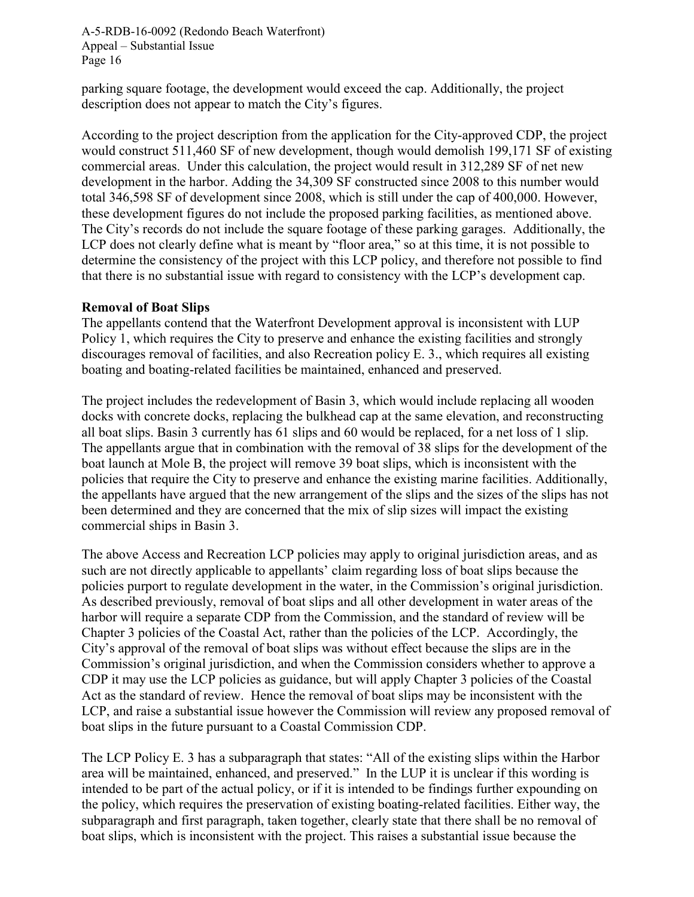parking square footage, the development would exceed the cap. Additionally, the project description does not appear to match the City's figures.

According to the project description from the application for the City-approved CDP, the project would construct 511,460 SF of new development, though would demolish 199,171 SF of existing commercial areas. Under this calculation, the project would result in 312,289 SF of net new development in the harbor. Adding the 34,309 SF constructed since 2008 to this number would total 346,598 SF of development since 2008, which is still under the cap of 400,000. However, these development figures do not include the proposed parking facilities, as mentioned above. The City's records do not include the square footage of these parking garages. Additionally, the LCP does not clearly define what is meant by "floor area," so at this time, it is not possible to determine the consistency of the project with this LCP policy, and therefore not possible to find that there is no substantial issue with regard to consistency with the LCP's development cap.

#### **Removal of Boat Slips**

The appellants contend that the Waterfront Development approval is inconsistent with LUP Policy 1, which requires the City to preserve and enhance the existing facilities and strongly discourages removal of facilities, and also Recreation policy E. 3., which requires all existing boating and boating-related facilities be maintained, enhanced and preserved.

The project includes the redevelopment of Basin 3, which would include replacing all wooden docks with concrete docks, replacing the bulkhead cap at the same elevation, and reconstructing all boat slips. Basin 3 currently has 61 slips and 60 would be replaced, for a net loss of 1 slip. The appellants argue that in combination with the removal of 38 slips for the development of the boat launch at Mole B, the project will remove 39 boat slips, which is inconsistent with the policies that require the City to preserve and enhance the existing marine facilities. Additionally, the appellants have argued that the new arrangement of the slips and the sizes of the slips has not been determined and they are concerned that the mix of slip sizes will impact the existing commercial ships in Basin 3.

The above Access and Recreation LCP policies may apply to original jurisdiction areas, and as such are not directly applicable to appellants' claim regarding loss of boat slips because the policies purport to regulate development in the water, in the Commission's original jurisdiction. As described previously, removal of boat slips and all other development in water areas of the harbor will require a separate CDP from the Commission, and the standard of review will be Chapter 3 policies of the Coastal Act, rather than the policies of the LCP. Accordingly, the City's approval of the removal of boat slips was without effect because the slips are in the Commission's original jurisdiction, and when the Commission considers whether to approve a CDP it may use the LCP policies as guidance, but will apply Chapter 3 policies of the Coastal Act as the standard of review. Hence the removal of boat slips may be inconsistent with the LCP, and raise a substantial issue however the Commission will review any proposed removal of boat slips in the future pursuant to a Coastal Commission CDP.

The LCP Policy E. 3 has a subparagraph that states: "All of the existing slips within the Harbor area will be maintained, enhanced, and preserved." In the LUP it is unclear if this wording is intended to be part of the actual policy, or if it is intended to be findings further expounding on the policy, which requires the preservation of existing boating-related facilities. Either way, the subparagraph and first paragraph, taken together, clearly state that there shall be no removal of boat slips, which is inconsistent with the project. This raises a substantial issue because the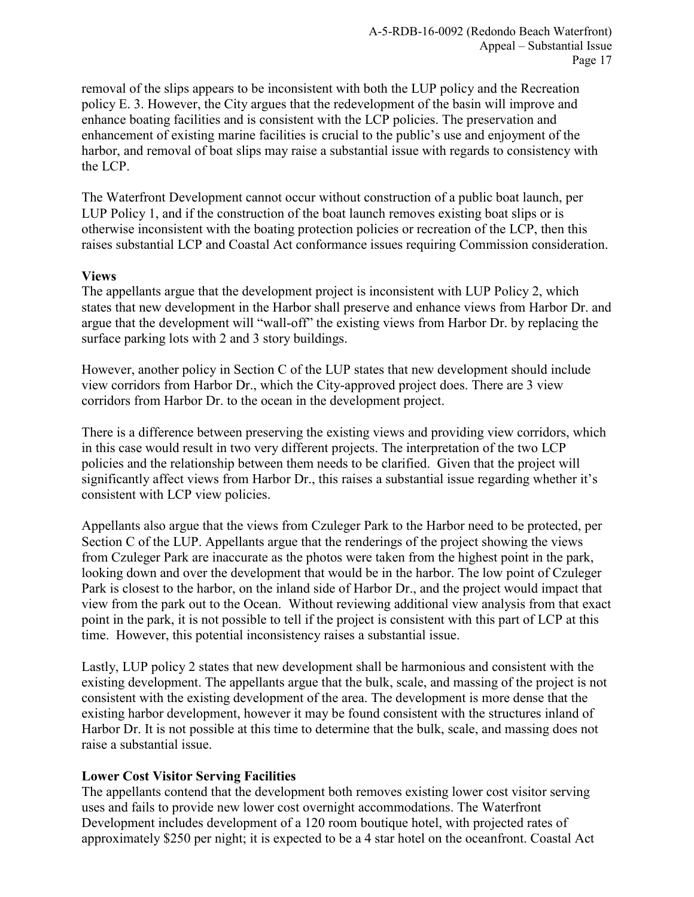removal of the slips appears to be inconsistent with both the LUP policy and the Recreation policy E. 3. However, the City argues that the redevelopment of the basin will improve and enhance boating facilities and is consistent with the LCP policies. The preservation and enhancement of existing marine facilities is crucial to the public's use and enjoyment of the harbor, and removal of boat slips may raise a substantial issue with regards to consistency with the LCP.

The Waterfront Development cannot occur without construction of a public boat launch, per LUP Policy 1, and if the construction of the boat launch removes existing boat slips or is otherwise inconsistent with the boating protection policies or recreation of the LCP, then this raises substantial LCP and Coastal Act conformance issues requiring Commission consideration.

#### **Views**

The appellants argue that the development project is inconsistent with LUP Policy 2, which states that new development in the Harbor shall preserve and enhance views from Harbor Dr. and argue that the development will "wall-off" the existing views from Harbor Dr. by replacing the surface parking lots with 2 and 3 story buildings.

However, another policy in Section C of the LUP states that new development should include view corridors from Harbor Dr., which the City-approved project does. There are 3 view corridors from Harbor Dr. to the ocean in the development project.

There is a difference between preserving the existing views and providing view corridors, which in this case would result in two very different projects. The interpretation of the two LCP policies and the relationship between them needs to be clarified. Given that the project will significantly affect views from Harbor Dr., this raises a substantial issue regarding whether it's consistent with LCP view policies.

Appellants also argue that the views from Czuleger Park to the Harbor need to be protected, per Section C of the LUP. Appellants argue that the renderings of the project showing the views from Czuleger Park are inaccurate as the photos were taken from the highest point in the park, looking down and over the development that would be in the harbor. The low point of Czuleger Park is closest to the harbor, on the inland side of Harbor Dr., and the project would impact that view from the park out to the Ocean. Without reviewing additional view analysis from that exact point in the park, it is not possible to tell if the project is consistent with this part of LCP at this time. However, this potential inconsistency raises a substantial issue.

Lastly, LUP policy 2 states that new development shall be harmonious and consistent with the existing development. The appellants argue that the bulk, scale, and massing of the project is not consistent with the existing development of the area. The development is more dense that the existing harbor development, however it may be found consistent with the structures inland of Harbor Dr. It is not possible at this time to determine that the bulk, scale, and massing does not raise a substantial issue.

#### **Lower Cost Visitor Serving Facilities**

The appellants contend that the development both removes existing lower cost visitor serving uses and fails to provide new lower cost overnight accommodations. The Waterfront Development includes development of a 120 room boutique hotel, with projected rates of approximately \$250 per night; it is expected to be a 4 star hotel on the oceanfront. Coastal Act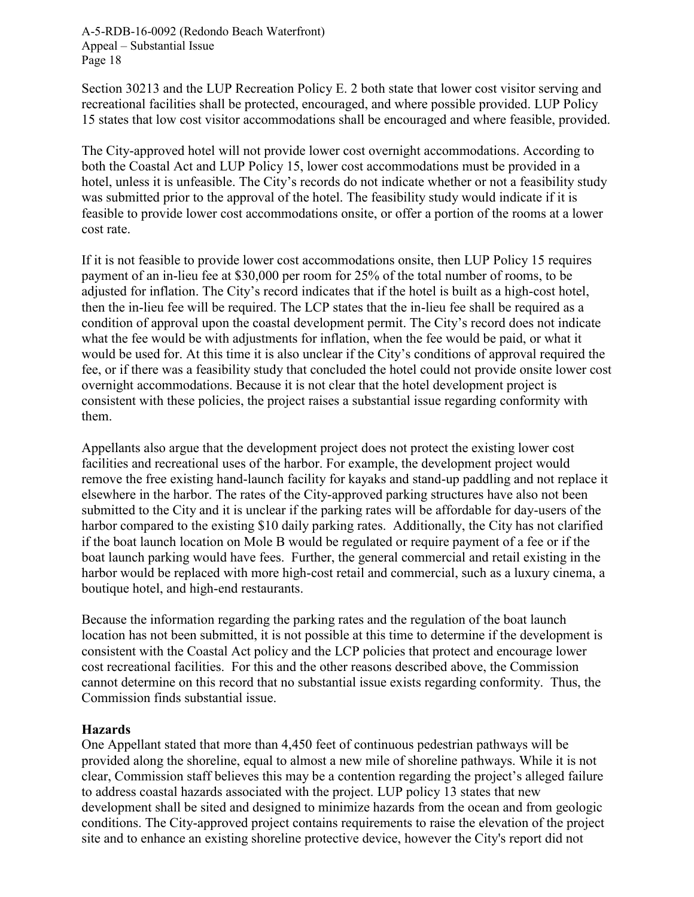Section 30213 and the LUP Recreation Policy E. 2 both state that lower cost visitor serving and recreational facilities shall be protected, encouraged, and where possible provided. LUP Policy 15 states that low cost visitor accommodations shall be encouraged and where feasible, provided.

The City-approved hotel will not provide lower cost overnight accommodations. According to both the Coastal Act and LUP Policy 15, lower cost accommodations must be provided in a hotel, unless it is unfeasible. The City's records do not indicate whether or not a feasibility study was submitted prior to the approval of the hotel. The feasibility study would indicate if it is feasible to provide lower cost accommodations onsite, or offer a portion of the rooms at a lower cost rate.

If it is not feasible to provide lower cost accommodations onsite, then LUP Policy 15 requires payment of an in-lieu fee at \$30,000 per room for 25% of the total number of rooms, to be adjusted for inflation. The City's record indicates that if the hotel is built as a high-cost hotel, then the in-lieu fee will be required. The LCP states that the in-lieu fee shall be required as a condition of approval upon the coastal development permit. The City's record does not indicate what the fee would be with adjustments for inflation, when the fee would be paid, or what it would be used for. At this time it is also unclear if the City's conditions of approval required the fee, or if there was a feasibility study that concluded the hotel could not provide onsite lower cost overnight accommodations. Because it is not clear that the hotel development project is consistent with these policies, the project raises a substantial issue regarding conformity with them.

Appellants also argue that the development project does not protect the existing lower cost facilities and recreational uses of the harbor. For example, the development project would remove the free existing hand-launch facility for kayaks and stand-up paddling and not replace it elsewhere in the harbor. The rates of the City-approved parking structures have also not been submitted to the City and it is unclear if the parking rates will be affordable for day-users of the harbor compared to the existing \$10 daily parking rates. Additionally, the City has not clarified if the boat launch location on Mole B would be regulated or require payment of a fee or if the boat launch parking would have fees. Further, the general commercial and retail existing in the harbor would be replaced with more high-cost retail and commercial, such as a luxury cinema, a boutique hotel, and high-end restaurants.

Because the information regarding the parking rates and the regulation of the boat launch location has not been submitted, it is not possible at this time to determine if the development is consistent with the Coastal Act policy and the LCP policies that protect and encourage lower cost recreational facilities. For this and the other reasons described above, the Commission cannot determine on this record that no substantial issue exists regarding conformity. Thus, the Commission finds substantial issue.

#### **Hazards**

One Appellant stated that more than 4,450 feet of continuous pedestrian pathways will be provided along the shoreline, equal to almost a new mile of shoreline pathways. While it is not clear, Commission staff believes this may be a contention regarding the project's alleged failure to address coastal hazards associated with the project. LUP policy 13 states that new development shall be sited and designed to minimize hazards from the ocean and from geologic conditions. The City-approved project contains requirements to raise the elevation of the project site and to enhance an existing shoreline protective device, however the City's report did not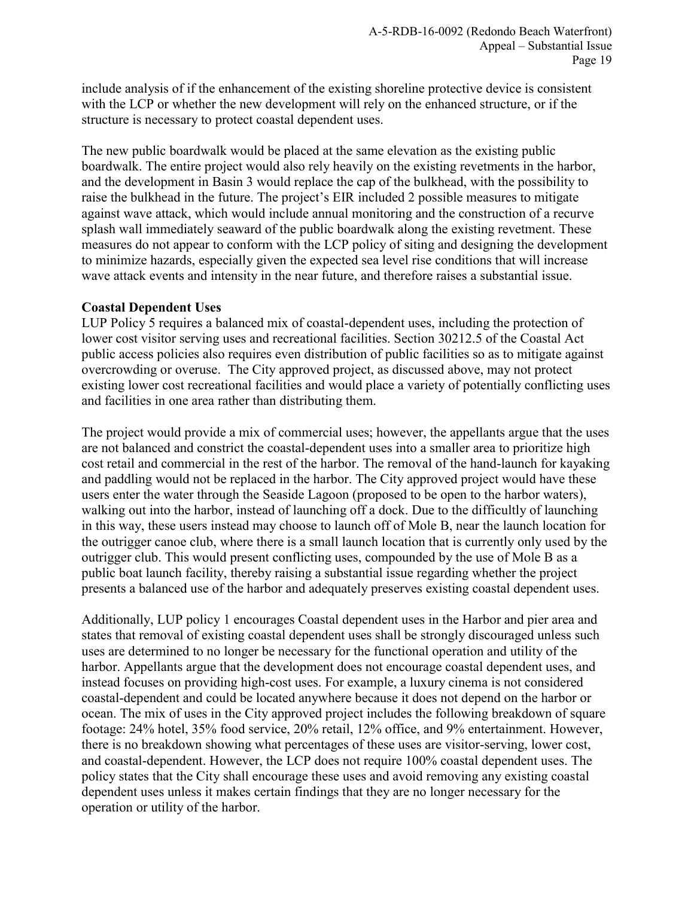include analysis of if the enhancement of the existing shoreline protective device is consistent with the LCP or whether the new development will rely on the enhanced structure, or if the structure is necessary to protect coastal dependent uses.

The new public boardwalk would be placed at the same elevation as the existing public boardwalk. The entire project would also rely heavily on the existing revetments in the harbor, and the development in Basin 3 would replace the cap of the bulkhead, with the possibility to raise the bulkhead in the future. The project's EIR included 2 possible measures to mitigate against wave attack, which would include annual monitoring and the construction of a recurve splash wall immediately seaward of the public boardwalk along the existing revetment. These measures do not appear to conform with the LCP policy of siting and designing the development to minimize hazards, especially given the expected sea level rise conditions that will increase wave attack events and intensity in the near future, and therefore raises a substantial issue.

#### **Coastal Dependent Uses**

LUP Policy 5 requires a balanced mix of coastal-dependent uses, including the protection of lower cost visitor serving uses and recreational facilities. Section 30212.5 of the Coastal Act public access policies also requires even distribution of public facilities so as to mitigate against overcrowding or overuse. The City approved project, as discussed above, may not protect existing lower cost recreational facilities and would place a variety of potentially conflicting uses and facilities in one area rather than distributing them.

The project would provide a mix of commercial uses; however, the appellants argue that the uses are not balanced and constrict the coastal-dependent uses into a smaller area to prioritize high cost retail and commercial in the rest of the harbor. The removal of the hand-launch for kayaking and paddling would not be replaced in the harbor. The City approved project would have these users enter the water through the Seaside Lagoon (proposed to be open to the harbor waters), walking out into the harbor, instead of launching off a dock. Due to the difficultly of launching in this way, these users instead may choose to launch off of Mole B, near the launch location for the outrigger canoe club, where there is a small launch location that is currently only used by the outrigger club. This would present conflicting uses, compounded by the use of Mole B as a public boat launch facility, thereby raising a substantial issue regarding whether the project presents a balanced use of the harbor and adequately preserves existing coastal dependent uses.

Additionally, LUP policy 1 encourages Coastal dependent uses in the Harbor and pier area and states that removal of existing coastal dependent uses shall be strongly discouraged unless such uses are determined to no longer be necessary for the functional operation and utility of the harbor. Appellants argue that the development does not encourage coastal dependent uses, and instead focuses on providing high-cost uses. For example, a luxury cinema is not considered coastal-dependent and could be located anywhere because it does not depend on the harbor or ocean. The mix of uses in the City approved project includes the following breakdown of square footage: 24% hotel, 35% food service, 20% retail, 12% office, and 9% entertainment. However, there is no breakdown showing what percentages of these uses are visitor-serving, lower cost, and coastal-dependent. However, the LCP does not require 100% coastal dependent uses. The policy states that the City shall encourage these uses and avoid removing any existing coastal dependent uses unless it makes certain findings that they are no longer necessary for the operation or utility of the harbor.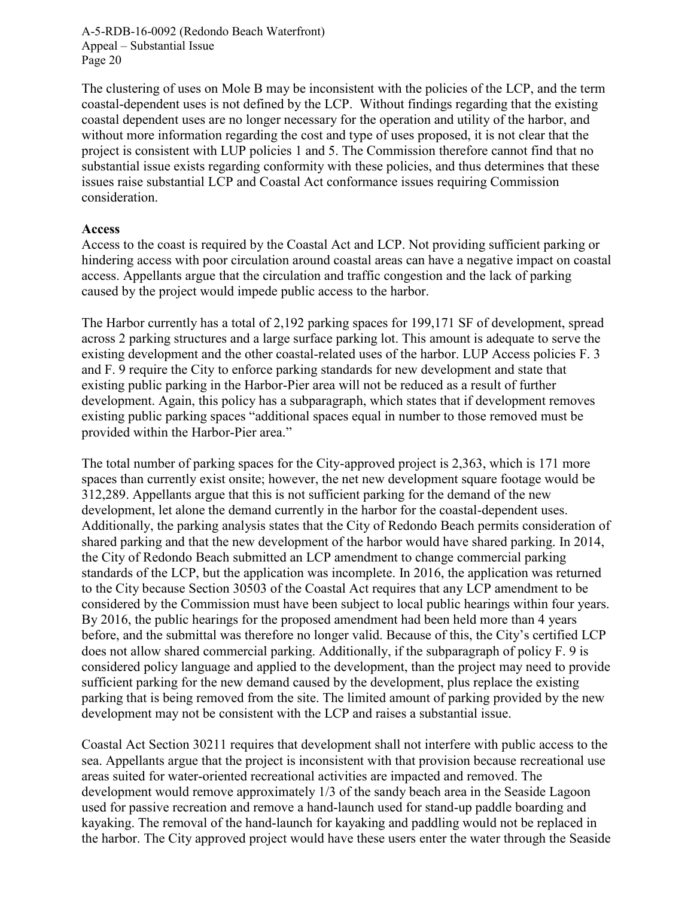The clustering of uses on Mole B may be inconsistent with the policies of the LCP, and the term coastal-dependent uses is not defined by the LCP. Without findings regarding that the existing coastal dependent uses are no longer necessary for the operation and utility of the harbor, and without more information regarding the cost and type of uses proposed, it is not clear that the project is consistent with LUP policies 1 and 5. The Commission therefore cannot find that no substantial issue exists regarding conformity with these policies, and thus determines that these issues raise substantial LCP and Coastal Act conformance issues requiring Commission consideration.

#### **Access**

Access to the coast is required by the Coastal Act and LCP. Not providing sufficient parking or hindering access with poor circulation around coastal areas can have a negative impact on coastal access. Appellants argue that the circulation and traffic congestion and the lack of parking caused by the project would impede public access to the harbor.

The Harbor currently has a total of 2,192 parking spaces for 199,171 SF of development, spread across 2 parking structures and a large surface parking lot. This amount is adequate to serve the existing development and the other coastal-related uses of the harbor. LUP Access policies F. 3 and F. 9 require the City to enforce parking standards for new development and state that existing public parking in the Harbor-Pier area will not be reduced as a result of further development. Again, this policy has a subparagraph, which states that if development removes existing public parking spaces "additional spaces equal in number to those removed must be provided within the Harbor-Pier area."

The total number of parking spaces for the City-approved project is 2,363, which is 171 more spaces than currently exist onsite; however, the net new development square footage would be 312,289. Appellants argue that this is not sufficient parking for the demand of the new development, let alone the demand currently in the harbor for the coastal-dependent uses. Additionally, the parking analysis states that the City of Redondo Beach permits consideration of shared parking and that the new development of the harbor would have shared parking. In 2014, the City of Redondo Beach submitted an LCP amendment to change commercial parking standards of the LCP, but the application was incomplete. In 2016, the application was returned to the City because Section 30503 of the Coastal Act requires that any LCP amendment to be considered by the Commission must have been subject to local public hearings within four years. By 2016, the public hearings for the proposed amendment had been held more than 4 years before, and the submittal was therefore no longer valid. Because of this, the City's certified LCP does not allow shared commercial parking. Additionally, if the subparagraph of policy F. 9 is considered policy language and applied to the development, than the project may need to provide sufficient parking for the new demand caused by the development, plus replace the existing parking that is being removed from the site. The limited amount of parking provided by the new development may not be consistent with the LCP and raises a substantial issue.

Coastal Act Section 30211 requires that development shall not interfere with public access to the sea. Appellants argue that the project is inconsistent with that provision because recreational use areas suited for water-oriented recreational activities are impacted and removed. The development would remove approximately 1/3 of the sandy beach area in the Seaside Lagoon used for passive recreation and remove a hand-launch used for stand-up paddle boarding and kayaking. The removal of the hand-launch for kayaking and paddling would not be replaced in the harbor. The City approved project would have these users enter the water through the Seaside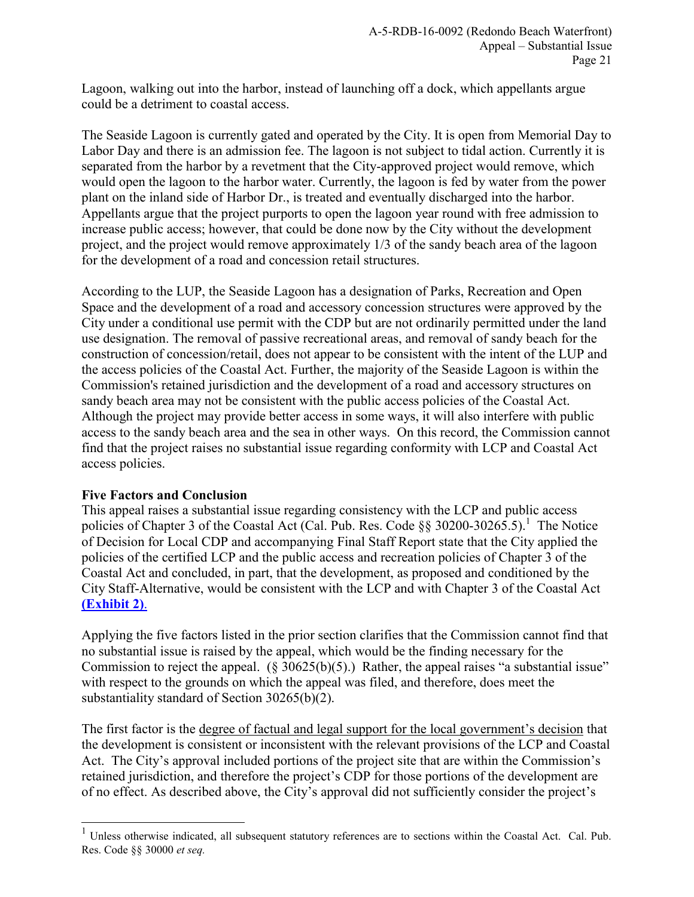Lagoon, walking out into the harbor, instead of launching off a dock, which appellants argue could be a detriment to coastal access.

The Seaside Lagoon is currently gated and operated by the City. It is open from Memorial Day to Labor Day and there is an admission fee. The lagoon is not subject to tidal action. Currently it is separated from the harbor by a revetment that the City-approved project would remove, which would open the lagoon to the harbor water. Currently, the lagoon is fed by water from the power plant on the inland side of Harbor Dr., is treated and eventually discharged into the harbor. Appellants argue that the project purports to open the lagoon year round with free admission to increase public access; however, that could be done now by the City without the development project, and the project would remove approximately 1/3 of the sandy beach area of the lagoon for the development of a road and concession retail structures.

According to the LUP, the Seaside Lagoon has a designation of Parks, Recreation and Open Space and the development of a road and accessory concession structures were approved by the City under a conditional use permit with the CDP but are not ordinarily permitted under the land use designation. The removal of passive recreational areas, and removal of sandy beach for the construction of concession/retail, does not appear to be consistent with the intent of the LUP and the access policies of the Coastal Act. Further, the majority of the Seaside Lagoon is within the Commission's retained jurisdiction and the development of a road and accessory structures on sandy beach area may not be consistent with the public access policies of the Coastal Act. Although the project may provide better access in some ways, it will also interfere with public access to the sandy beach area and the sea in other ways. On this record, the Commission cannot find that the project raises no substantial issue regarding conformity with LCP and Coastal Act access policies.

#### **Five Factors and Conclusion**

 $\overline{a}$ 

This appeal raises a substantial issue regarding consistency with the LCP and public access policies of Chapter 3 of the Coastal Act (Cal. Pub. Res. Code  $\S$ § 30200-30265.5).<sup>1</sup> The Notice of Decision for Local CDP and accompanying Final Staff Report state that the City applied the policies of the certified LCP and the public access and recreation policies of Chapter 3 of the Coastal Act and concluded, in part, that the development, as proposed and conditioned by the City Staff-Alternative, would be consistent with the LCP and with Chapter 3 of the Coastal Act **[\(Exhibit 2\)](https://documents.coastal.ca.gov/reports/2017/5/F15a/F15a-5-2017-exhibits.pdf)**.

Applying the five factors listed in the prior section clarifies that the Commission cannot find that no substantial issue is raised by the appeal, which would be the finding necessary for the Commission to reject the appeal. (§ 30625(b)(5).) Rather, the appeal raises "a substantial issue" with respect to the grounds on which the appeal was filed, and therefore, does meet the substantiality standard of Section 30265(b)(2).

The first factor is the degree of factual and legal support for the local government's decision that the development is consistent or inconsistent with the relevant provisions of the LCP and Coastal Act. The City's approval included portions of the project site that are within the Commission's retained jurisdiction, and therefore the project's CDP for those portions of the development are of no effect. As described above, the City's approval did not sufficiently consider the project's

 $<sup>1</sup>$  Unless otherwise indicated, all subsequent statutory references are to sections within the Coastal Act. Cal. Pub.</sup> Res. Code §§ 30000 *et seq.*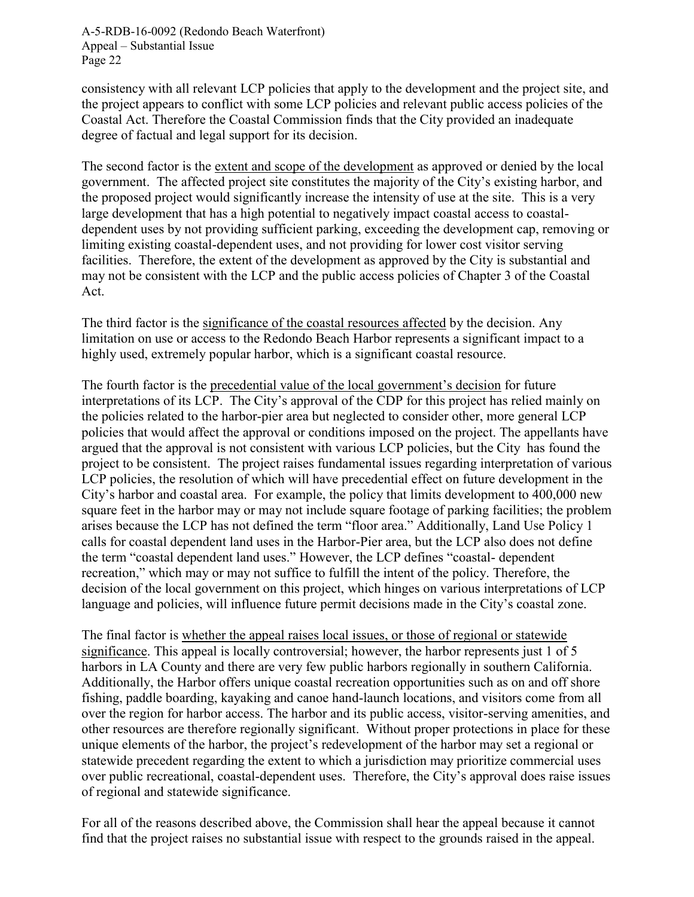consistency with all relevant LCP policies that apply to the development and the project site, and the project appears to conflict with some LCP policies and relevant public access policies of the Coastal Act. Therefore the Coastal Commission finds that the City provided an inadequate degree of factual and legal support for its decision.

The second factor is the extent and scope of the development as approved or denied by the local government. The affected project site constitutes the majority of the City's existing harbor, and the proposed project would significantly increase the intensity of use at the site. This is a very large development that has a high potential to negatively impact coastal access to coastaldependent uses by not providing sufficient parking, exceeding the development cap, removing or limiting existing coastal-dependent uses, and not providing for lower cost visitor serving facilities. Therefore, the extent of the development as approved by the City is substantial and may not be consistent with the LCP and the public access policies of Chapter 3 of the Coastal Act.

The third factor is the significance of the coastal resources affected by the decision. Any limitation on use or access to the Redondo Beach Harbor represents a significant impact to a highly used, extremely popular harbor, which is a significant coastal resource.

The fourth factor is the precedential value of the local government's decision for future interpretations of its LCP. The City's approval of the CDP for this project has relied mainly on the policies related to the harbor-pier area but neglected to consider other, more general LCP policies that would affect the approval or conditions imposed on the project. The appellants have argued that the approval is not consistent with various LCP policies, but the City has found the project to be consistent. The project raises fundamental issues regarding interpretation of various LCP policies, the resolution of which will have precedential effect on future development in the City's harbor and coastal area. For example, the policy that limits development to 400,000 new square feet in the harbor may or may not include square footage of parking facilities; the problem arises because the LCP has not defined the term "floor area." Additionally, Land Use Policy 1 calls for coastal dependent land uses in the Harbor-Pier area, but the LCP also does not define the term "coastal dependent land uses." However, the LCP defines "coastal- dependent recreation," which may or may not suffice to fulfill the intent of the policy. Therefore, the decision of the local government on this project, which hinges on various interpretations of LCP language and policies, will influence future permit decisions made in the City's coastal zone.

The final factor is whether the appeal raises local issues, or those of regional or statewide significance. This appeal is locally controversial; however, the harbor represents just 1 of 5 harbors in LA County and there are very few public harbors regionally in southern California. Additionally, the Harbor offers unique coastal recreation opportunities such as on and off shore fishing, paddle boarding, kayaking and canoe hand-launch locations, and visitors come from all over the region for harbor access. The harbor and its public access, visitor-serving amenities, and other resources are therefore regionally significant. Without proper protections in place for these unique elements of the harbor, the project's redevelopment of the harbor may set a regional or statewide precedent regarding the extent to which a jurisdiction may prioritize commercial uses over public recreational, coastal-dependent uses. Therefore, the City's approval does raise issues of regional and statewide significance.

For all of the reasons described above, the Commission shall hear the appeal because it cannot find that the project raises no substantial issue with respect to the grounds raised in the appeal.